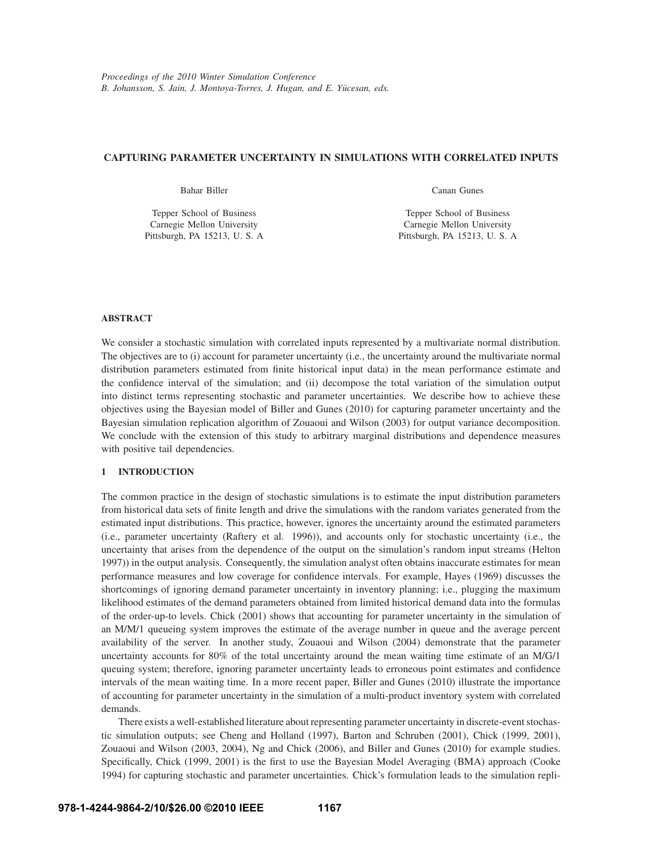## **CAPTURING PARAMETER UNCERTAINTY IN SIMULATIONS WITH CORRELATED INPUTS**

Bahar Biller

Tepper School of Business Carnegie Mellon University Pittsburgh, PA 15213, U. S. A Canan Gunes

Tepper School of Business Carnegie Mellon University Pittsburgh, PA 15213, U. S. A

## **ABSTRACT**

We consider a stochastic simulation with correlated inputs represented by a multivariate normal distribution. The objectives are to (i) account for parameter uncertainty (i.e., the uncertainty around the multivariate normal distribution parameters estimated from finite historical input data) in the mean performance estimate and the confidence interval of the simulation; and (ii) decompose the total variation of the simulation output into distinct terms representing stochastic and parameter uncertainties. We describe how to achieve these objectives using the Bayesian model of Biller and Gunes (2010) for capturing parameter uncertainty and the Bayesian simulation replication algorithm of Zouaoui and Wilson (2003) for output variance decomposition. We conclude with the extension of this study to arbitrary marginal distributions and dependence measures with positive tail dependencies.

## **1 INTRODUCTION**

The common practice in the design of stochastic simulations is to estimate the input distribution parameters from historical data sets of finite length and drive the simulations with the random variates generated from the estimated input distributions. This practice, however, ignores the uncertainty around the estimated parameters (i.e., parameter uncertainty (Raftery et al. 1996)), and accounts only for stochastic uncertainty (i.e., the uncertainty that arises from the dependence of the output on the simulation's random input streams (Helton 1997)) in the output analysis. Consequently, the simulation analyst often obtains inaccurate estimates for mean performance measures and low coverage for confidence intervals. For example, Hayes (1969) discusses the shortcomings of ignoring demand parameter uncertainty in inventory planning; i.e., plugging the maximum likelihood estimates of the demand parameters obtained from limited historical demand data into the formulas of the order-up-to levels. Chick (2001) shows that accounting for parameter uncertainty in the simulation of an M/M/1 queueing system improves the estimate of the average number in queue and the average percent availability of the server. In another study, Zouaoui and Wilson (2004) demonstrate that the parameter uncertainty accounts for 80% of the total uncertainty around the mean waiting time estimate of an M/G/1 queuing system; therefore, ignoring parameter uncertainty leads to erroneous point estimates and confidence intervals of the mean waiting time. In a more recent paper, Biller and Gunes (2010) illustrate the importance of accounting for parameter uncertainty in the simulation of a multi-product inventory system with correlated demands.

There exists a well-established literature about representing parameter uncertainty in discrete-event stochastic simulation outputs; see Cheng and Holland (1997), Barton and Schruben (2001), Chick (1999, 2001), Zouaoui and Wilson (2003, 2004), Ng and Chick (2006), and Biller and Gunes (2010) for example studies. Specifically, Chick (1999, 2001) is the first to use the Bayesian Model Averaging (BMA) approach (Cooke 1994) for capturing stochastic and parameter uncertainties. Chick's formulation leads to the simulation repli-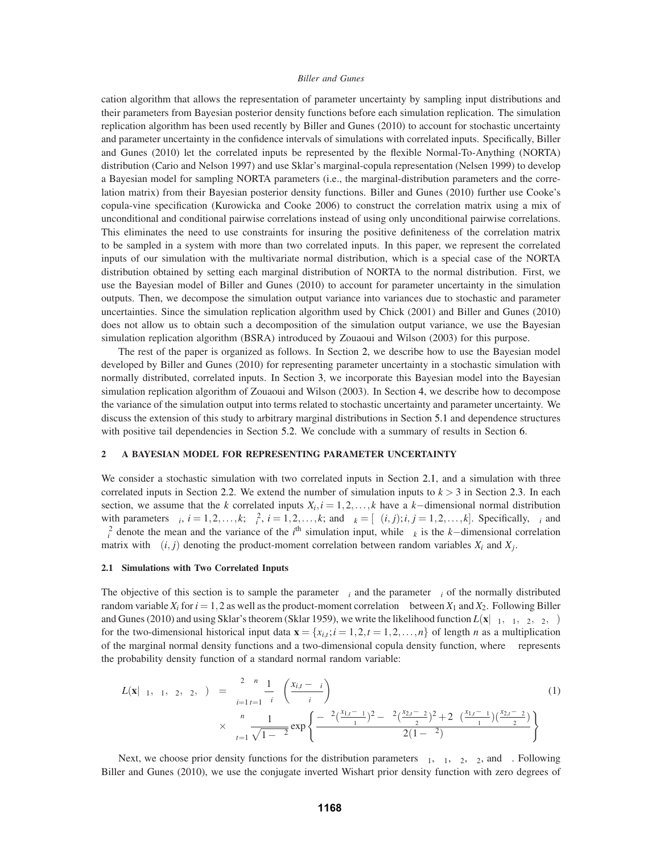cation algorithm that allows the representation of parameter uncertainty by sampling input distributions and their parameters from Bayesian posterior density functions before each simulation replication. The simulation replication algorithm has been used recently by Biller and Gunes (2010) to account for stochastic uncertainty and parameter uncertainty in the confidence intervals of simulations with correlated inputs. Specifically, Biller and Gunes (2010) let the correlated inputs be represented by the flexible Normal-To-Anything (NORTA) distribution (Cario and Nelson 1997) and use Sklar's marginal-copula representation (Nelsen 1999) to develop a Bayesian model for sampling NORTA parameters (i.e., the marginal-distribution parameters and the correlation matrix) from their Bayesian posterior density functions. Biller and Gunes (2010) further use Cooke's copula-vine specification (Kurowicka and Cooke 2006) to construct the correlation matrix using a mix of unconditional and conditional pairwise correlations instead of using only unconditional pairwise correlations. This eliminates the need to use constraints for insuring the positive definiteness of the correlation matrix to be sampled in a system with more than two correlated inputs. In this paper, we represent the correlated inputs of our simulation with the multivariate normal distribution, which is a special case of the NORTA distribution obtained by setting each marginal distribution of NORTA to the normal distribution. First, we use the Bayesian model of Biller and Gunes (2010) to account for parameter uncertainty in the simulation outputs. Then, we decompose the simulation output variance into variances due to stochastic and parameter uncertainties. Since the simulation replication algorithm used by Chick (2001) and Biller and Gunes (2010) does not allow us to obtain such a decomposition of the simulation output variance, we use the Bayesian simulation replication algorithm (BSRA) introduced by Zouaoui and Wilson (2003) for this purpose.

The rest of the paper is organized as follows. In Section 2, we describe how to use the Bayesian model developed by Biller and Gunes (2010) for representing parameter uncertainty in a stochastic simulation with normally distributed, correlated inputs. In Section 3, we incorporate this Bayesian model into the Bayesian simulation replication algorithm of Zouaoui and Wilson (2003). In Section 4, we describe how to decompose the variance of the simulation output into terms related to stochastic uncertainty and parameter uncertainty. We discuss the extension of this study to arbitrary marginal distributions in Section 5.1 and dependence structures with positive tail dependencies in Section 5.2. We conclude with a summary of results in Section 6.

#### **2 A BAYESIAN MODEL FOR REPRESENTING PARAMETER UNCERTAINTY**

We consider a stochastic simulation with two correlated inputs in Section 2.1, and a simulation with three correlated inputs in Section 2.2. We extend the number of simulation inputs to  $k > 3$  in Section 2.3. In each section, we assume that the *k* correlated inputs  $X_i$ ,  $i = 1, 2, \ldots, k$  have a *k*−dimensional normal distribution with parameters  $\mu_i$ ,  $i = 1, 2, ..., k$ ;  $\sigma_i^2$ ,  $i = 1, 2, ..., k$ ; and  $\Sigma_k = [\rho(i, j); i, j = 1, 2, ..., k]$ . Specifically,  $\mu_i$  and  $σ<sub>i</sub><sup>2</sup>$  denote the mean and the variance of the *i*<sup>th</sup> simulation input, while  $Σ<sub>k</sub>$  is the *k*−dimensional correlation matrix with  $\rho(i, j)$  denoting the product-moment correlation between random variables  $X_i$  and  $X_j$ .

#### **2.1 Simulations with Two Correlated Inputs**

The objective of this section is to sample the parameter  $\mu_i$  and the parameter  $\sigma_i$  of the normally distributed random variable  $X_i$  for  $i = 1, 2$  as well as the product-moment correlation  $ρ$  between  $X_1$  and  $X_2$ . Following Biller and Gunes (2010) and using Sklar's theorem (Sklar 1959), we write the likelihood function  $L(\mathbf{x}|\mu_1,\sigma_1,\mu_2,\sigma_2,\rho)$ for the two-dimensional historical input data  $\mathbf{x} = \{x_{i,t}; i = 1, 2, t = 1, 2, \ldots, n\}$  of length *n* as a multiplication of the marginal normal density functions and a two-dimensional copula density function, where  $\phi$  represents the probability density function of a standard normal random variable:

$$
L(\mathbf{x}|\mu_1, \sigma_1, \mu_2, \sigma_2, \rho) = \prod_{i=1}^2 \prod_{t=1}^n \frac{1}{\sigma_i} \phi\left(\frac{x_{i,t} - \mu_i}{\sigma_i}\right)
$$
  
 
$$
\times \prod_{t=1}^n \frac{1}{\sqrt{1 - \rho^2}} \exp\left\{\frac{-\rho^2(\frac{x_{1,t} - \mu_1}{\sigma_1})^2 - \rho^2(\frac{x_{2,t} - \mu_2}{\sigma_2})^2 + 2\rho(\frac{x_{1,t} - \mu_1}{\sigma_1})(\frac{x_{2,t} - \mu_2}{\sigma_2})}{2(1 - \rho^2)}\right\}
$$
(1)

Next, we choose prior density functions for the distribution parameters  $\mu_1$ ,  $\sigma_1$ ,  $\mu_2$ ,  $\sigma_2$ , and  $\rho$ . Following Biller and Gunes (2010), we use the conjugate inverted Wishart prior density function with zero degrees of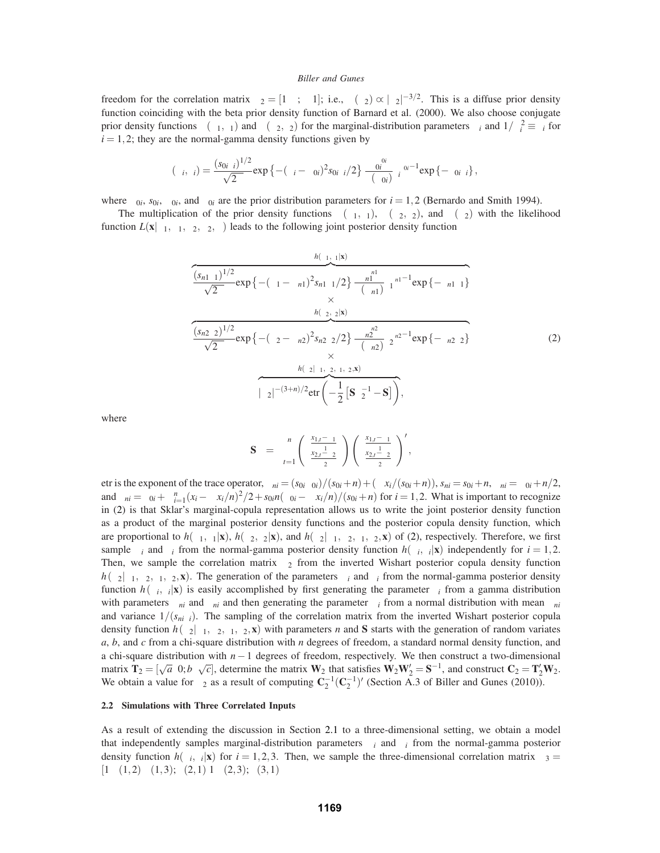freedom for the correlation matrix  $\Sigma_2 = [1 \rho; \rho \ 1]$ ; i.e.,  $\pi(\Sigma_2) \propto |\Sigma_2|^{-3/2}$ . This is a diffuse prior density function coinciding with the beta prior density function of Barnard et al. (2000). We also choose conjugate prior density functions  $\pi(\mu_1, \tau_1)$  and  $\pi(\mu_2, \tau_2)$  for the marginal-distribution parameters  $\mu_i$  and  $1/\sigma_i^2 \equiv \tau_i$  for  $i = 1, 2$ ; they are the normal-gamma density functions given by

$$
\pi(\mu_i,\tau_i) = \frac{(s_{0i}\tau_i)^{1/2}}{\sqrt{2\pi}} \exp \left\{ -(\mu_i - \mu_{0i})^2 s_{0i}\tau_i/2 \right\} \frac{\beta_{0i}^{\alpha_{0i}}}{\Gamma(\alpha_{0i})} \tau_i^{\alpha_{0i}-1} \exp \left\{ -\beta_{0i}\tau_i \right\},\,
$$

where  $\mu_{0i}$ ,  $s_{0i}$ ,  $\alpha_{0i}$ , and  $\beta_{0i}$  are the prior distribution parameters for  $i = 1, 2$  (Bernardo and Smith 1994).

The multiplication of the prior density functions  $\pi(\mu_1, \tau_1)$ ,  $\pi(\mu_2, \tau_2)$ , and  $\pi(\Sigma_2)$  with the likelihood function  $L(\mathbf{x}|\mu_1, \sigma_1, \mu_2, \sigma_2, \rho)$  leads to the following joint posterior density function

$$
\frac{h(\mu_1, \tau_1|\mathbf{x})}{\sqrt{2\pi}} \exp \left\{ -(\mu_1 - \mu_{n1})^2 s_{n1} \tau_1/2 \right\} \frac{\beta_{n1}^{\alpha_{n1}}}{\Gamma(\alpha_{n1})} \tau_1^{\alpha_{n1} - 1} \exp \left\{ -\beta_{n1} \tau_1 \right\}
$$
  

$$
\frac{h(\mu_2, \tau_2|\mathbf{x})}{\sqrt{2\pi}} \exp \left\{ -(\mu_2 - \mu_{n2})^2 s_{n2} \tau_2/2 \right\} \frac{\beta_{n2}^{\alpha_{n2}}}{\Gamma(\alpha_{n2})} \tau_2^{\alpha_{n2} - 1} \exp \left\{ -\beta_{n2} \tau_2 \right\}
$$
  

$$
\times \frac{h(\Sigma_2|\mu_1, \mu_2, \tau_1, \tau_2, \mathbf{x})}{\sum_{n=1}^{\infty} |(\Sigma_2|^{-(3+n)/2} \text{etr}\left(-\frac{1}{2} \left[\mathbf{S} \Sigma_2^{-1} - \mathbf{S}\right]\right),
$$
 (2)

where

$$
\mathbf{S} = \sum_{t=1}^{n} \begin{pmatrix} \frac{x_{1,t} - \mu_1}{\sigma_1} \\ \frac{x_{2,t} - \mu_2}{\sigma_2} \end{pmatrix} \begin{pmatrix} \frac{x_{1,t} - \mu_1}{\sigma_1} \\ \frac{x_{2,t} - \mu_2}{\sigma_2} \end{pmatrix}',
$$

etr is the exponent of the trace operator,  $\mu_{ni} = (s_{0i}\mu_{0i})/(s_{0i}+n) + (\sum x_i/(s_{0i}+n))$ ,  $s_{ni} = s_{0i}+n$ ,  $\alpha_{ni} = \alpha_{0i}+n/2$ , and  $\beta_{ni} = \beta_{0i} + \sum_{i=1}^{n} (x_i - \sum x_i/n)^2 / 2 + s_{0i}n(\mu_{0i} - \sum x_i/n) / (s_{0i} + n)$  for  $i = 1, 2$ . What is important to recognize in (2) is that Sklar's marginal-copula representation allows us to write the joint posterior density function as a product of the marginal posterior density functions and the posterior copula density function, which are proportional to  $h(\mu_1, \tau_1|\mathbf{x})$ ,  $h(\mu_2, \tau_2|\mathbf{x})$ , and  $h(\Sigma_2|\mu_1, \mu_2, \tau_1, \tau_2, \mathbf{x})$  of (2), respectively. Therefore, we first sample  $\mu_i$  and  $\tau_i$  from the normal-gamma posterior density function  $h(\mu_i, \tau_i|\mathbf{x})$  independently for  $i = 1, 2$ . Then, we sample the correlation matrix  $\Sigma_2$  from the inverted Wishart posterior copula density function  $h(\Sigma_2|\mu_1,\mu_2,\tau_1,\tau_2,\mathbf{x})$ . The generation of the parameters  $\mu_i$  and  $\tau_i$  from the normal-gamma posterior density function  $h(\mu_i, \tau_i|\mathbf{x})$  is easily accomplished by first generating the parameter  $\tau_i$  from a gamma distribution with parameters  $\alpha_{ni}$  and  $\beta_{ni}$  and then generating the parameter  $\mu_i$  from a normal distribution with mean  $\mu_{ni}$ and variance  $1/(s_{ni}\tau_i)$ . The sampling of the correlation matrix from the inverted Wishart posterior copula density function  $h(\Sigma_2|\mu_1,\mu_2,\tau_1,\tau_2,\mathbf{x})$  with parameters *n* and **S** starts with the generation of random variates *a*, *b*, and *c* from a chi-square distribution with *n* degrees of freedom, a standard normal density function, and a chi-square distribution with *n*−1 degrees of freedom, respectively. We then construct a two-dimensional matrix  $\mathbf{T}_2 = [\sqrt{a} \ \ 0; b \ \ \sqrt{c}]$ , determine the matrix  $\mathbf{W}_2$  that satisfies  $\mathbf{W}_2 \mathbf{W}'_2 = \mathbf{S}^{-1}$ , and construct  $\mathbf{C}_2 = \mathbf{T}'_2 \mathbf{W}_2$ . We obtain a value for  $\Sigma_2$  as a result of computing  $\mathbb{C}_2^{-1}(\mathbb{C}_2^{-1})'$  (Section A.3 of Biller and Gunes (2010)).

## **2.2 Simulations with Three Correlated Inputs**

As a result of extending the discussion in Section 2.1 to a three-dimensional setting, we obtain a model that independently samples marginal-distribution parameters  $\mu_i$  and  $\tau_i$  from the normal-gamma posterior density function  $h(\mu_i, \tau_i|\mathbf{x})$  for  $i = 1, 2, 3$ . Then, we sample the three-dimensional correlation matrix  $\Sigma_3 =$ [ $1 \rho(1,2) \rho(1,3)$ ;  $\rho(2,1) 1 \rho(2,3)$ ;  $\rho(3,1)$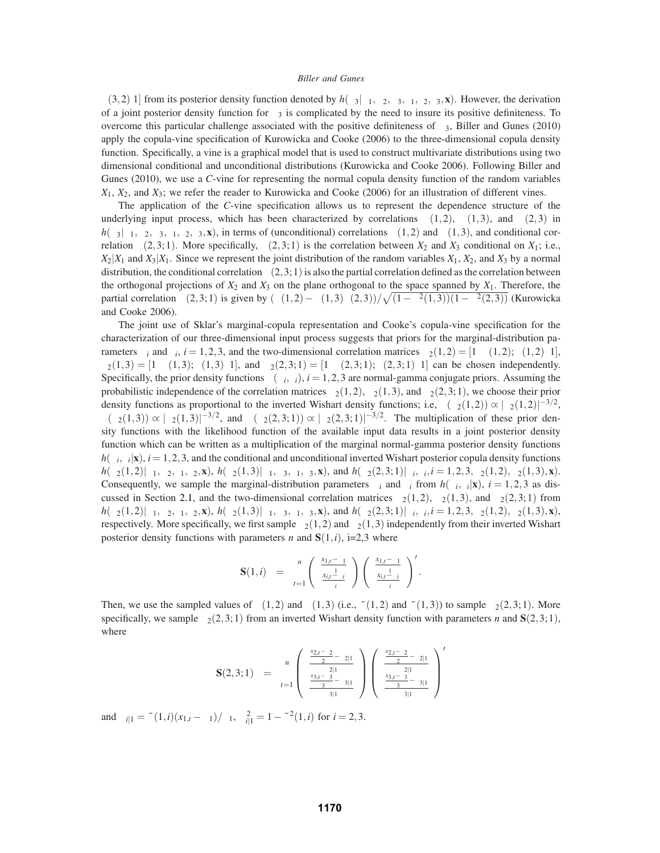$\rho$ (3,2) 1] from its posterior density function denoted by  $h(\Sigma_3|\mu_1,\mu_2,\mu_3,\tau_1,\tau_2,\tau_3,\mathbf{x})$ . However, the derivation of a joint posterior density function for  $\Sigma_3$  is complicated by the need to insure its positive definiteness. To overcome this particular challenge associated with the positive definiteness of  $\Sigma_3$ , Biller and Gunes (2010) apply the copula-vine specification of Kurowicka and Cooke (2006) to the three-dimensional copula density function. Specifically, a vine is a graphical model that is used to construct multivariate distributions using two dimensional conditional and unconditional distributions (Kurowicka and Cooke 2006). Following Biller and Gunes (2010), we use a *C*-vine for representing the normal copula density function of the random variables *X*1, *X*2, and *X*3; we refer the reader to Kurowicka and Cooke (2006) for an illustration of different vines.

The application of the *C*-vine specification allows us to represent the dependence structure of the underlying input process, which has been characterized by correlations  $\rho(1,2)$ ,  $\rho(1,3)$ , and  $\rho(2,3)$  in  $h(\Sigma_3|\mu_1,\mu_2,\mu_3,\tau_1,\tau_2,\tau_3,\mathbf{x})$ , in terms of (unconditional) correlations  $\rho(1,2)$  and  $\rho(1,3)$ , and conditional correlation  $\rho(2,3;1)$ . More specifically,  $\rho(2,3;1)$  is the correlation between  $X_2$  and  $X_3$  conditional on  $X_1$ ; i.e.,  $X_2|X_1$  and  $X_3|X_1$ . Since we represent the joint distribution of the random variables  $X_1, X_2$ , and  $X_3$  by a normal distribution, the conditional correlation  $\rho(2,3;1)$  is also the partial correlation defined as the correlation between the orthogonal projections of  $X_2$  and  $X_3$  on the plane orthogonal to the space spanned by  $X_1$ . Therefore, the partial correlation  $\rho(2,3;1)$  is given by  $(\rho(1,2) - \rho(1,3)\rho(2,3))/\sqrt{(1-\rho^2(1,3))(1-\rho^2(2,3))}$  (Kurowicka and Cooke 2006).

The joint use of Sklar's marginal-copula representation and Cooke's copula-vine specification for the characterization of our three-dimensional input process suggests that priors for the marginal-distribution parameters  $\mu_i$  and  $\tau_i$ ,  $i = 1, 2, 3$ , and the two-dimensional correlation matrices  $\Sigma_2(1,2) = \begin{bmatrix} 1 & \rho(1,2); \rho(1,2) & 1 \end{bmatrix}$  $\Sigma_2(1,3) = [1 \rho(1,3); \rho(1,3) \ 1]$ , and  $\Sigma_2(2,3;1) = [1 \rho(2,3;1); \rho(2,3;1) \ 1]$  can be chosen independently. Specifically, the prior density functions  $\pi(\mu_i, \tau_i)$ ,  $i = 1, 2, 3$  are normal-gamma conjugate priors. Assuming the probabilistic independence of the correlation matrices  $\Sigma_2(1,2)$ ,  $\Sigma_2(1,3)$ , and  $\Sigma_2(2,3;1)$ , we choose their prior density functions as proportional to the inverted Wishart density functions; i.e,  $\pi(\Sigma_2(1,2)) \propto |\Sigma_2(1,2)|^{-3/2}$ ,  $\pi(\Sigma_2(1,3)) \propto |\Sigma_2(1,3)|^{-3/2}$ , and  $\pi(\Sigma_2(2,3;1)) \propto |\Sigma_2(2,3;1)|^{-3/2}$ . The multiplication of these prior density functions with the likelihood function of the available input data results in a joint posterior density function which can be written as a multiplication of the marginal normal-gamma posterior density functions  $h(\mu_i, \tau_i|\mathbf{x})$ ,  $i = 1, 2, 3$ , and the conditional and unconditional inverted Wishart posterior copula density functions  $h(\Sigma_2(1,2)|\mu_1,\mu_2,\tau_1,\tau_2,\mathbf{x})$ ,  $h(\Sigma_2(1,3)|\mu_1,\mu_3,\tau_1,\tau_3,\mathbf{x})$ , and  $h(\Sigma_2(2,3;1)|\mu_i,\tau_i,i=1,2,3,\Sigma_2(1,2),\Sigma_2(1,3),\mathbf{x})$ . Consequently, we sample the marginal-distribution parameters  $\mu_i$  and  $\tau_i$  from  $h(\mu_i, \tau_i|\mathbf{x})$ ,  $i = 1, 2, 3$  as discussed in Section 2.1, and the two-dimensional correlation matrices  $\Sigma_2(1,2)$ ,  $\Sigma_2(1,3)$ , and  $\Sigma_2(2,3;1)$  from  $h(\Sigma_2(1,2)|\mu_1,\mu_2,\tau_1,\tau_2,\mathbf{x})$ ,  $h(\Sigma_2(1,3)|\mu_1,\mu_3,\tau_1,\tau_3,\mathbf{x})$ , and  $h(\Sigma_2(2,3;1)|\mu_i,\tau_i,i=1,2,3,\Sigma_2(1,2),\Sigma_2(1,3),\mathbf{x})$ , respectively. More specifically, we first sample  $\Sigma_2(1,2)$  and  $\Sigma_2(1,3)$  independently from their inverted Wishart posterior density functions with parameters *n* and  $S(1, i)$ , i=2,3 where

$$
\mathbf{S}(1,i) = \sum_{t=1}^n \begin{pmatrix} \frac{x_{1,t}-\mu_1}{\sigma_1} \\ \frac{x_{i,t}-\mu_i}{\sigma_i} \end{pmatrix} \begin{pmatrix} \frac{x_{1,t}-\mu_1}{\sigma_1} \\ \frac{x_{i,t}-\mu_i}{\sigma_i} \end{pmatrix}^{\prime}.
$$

Then, we use the sampled values of  $\rho(1,2)$  and  $\rho(1,3)$  (i.e.,  $\tilde{\rho}(1,2)$  and  $\tilde{\rho}(1,3)$ ) to sample  $\Sigma_2(2,3;1)$ . More specifically, we sample  $\Sigma_2(2,3;1)$  from an inverted Wishart density function with parameters *n* and **S**(2,3;1), where

$$
\mathbf{S}(2,3;1) = \sum_{t=1}^{n} \begin{pmatrix} \frac{x_{2,t}-\mu_2}{\sigma_2} - \mu_{2|1} \\ \frac{x_{3,t}-\mu_3}{\sigma_3} - \mu_{3|1} \\ \frac{x_{3,t}-\mu_3}{\sigma_3} - \mu_{3|1} \end{pmatrix} \begin{pmatrix} \frac{x_{2,t}-\mu_2}{\sigma_2} - \mu_{2|1} \\ \frac{x_{3,t}-\mu_3}{\sigma_3} - \mu_{3|1} \\ \frac{x_{3,t}-\mu_3}{\sigma_3} - \mu_{3|1} \end{pmatrix}
$$

and  $\mu_{i|1} = \tilde{\rho}(1,i)(x_{1,t} - \mu_1)/\sigma_1$ ,  $\sigma_{i|1}^2 = 1 - \tilde{\rho}^2(1,i)$  for  $i = 2,3$ .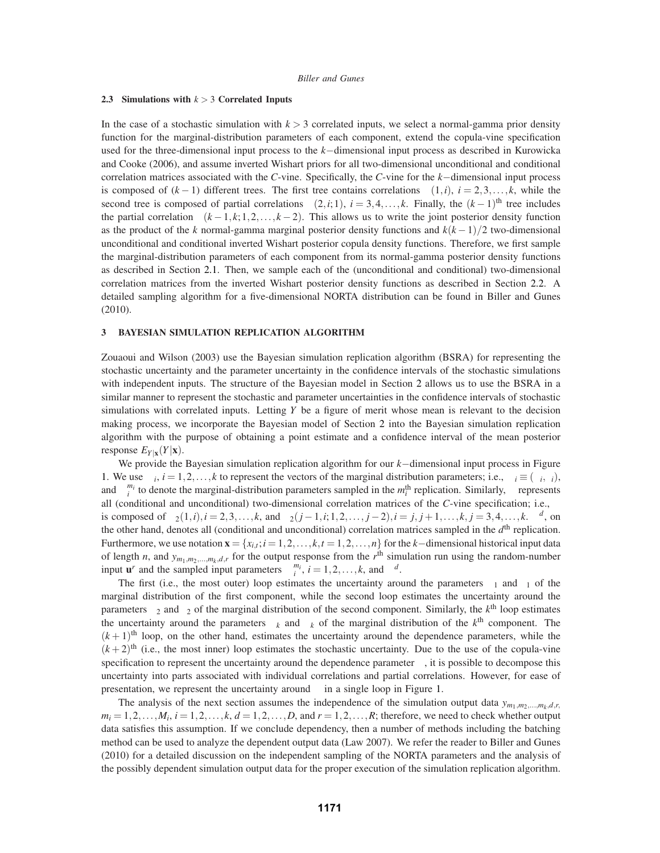## **2.3 Simulations with** *k* > 3 **Correlated Inputs**

In the case of a stochastic simulation with  $k > 3$  correlated inputs, we select a normal-gamma prior density function for the marginal-distribution parameters of each component, extend the copula-vine specification used for the three-dimensional input process to the *k*−dimensional input process as described in Kurowicka and Cooke (2006), and assume inverted Wishart priors for all two-dimensional unconditional and conditional correlation matrices associated with the *C*-vine. Specifically, the *C*-vine for the *k*−dimensional input process is composed of  $(k-1)$  different trees. The first tree contains correlations  $\rho(1,i)$ ,  $i = 2,3,\ldots,k$ , while the second tree is composed of partial correlations  $\rho(2,i;1)$ ,  $i = 3,4,...,k$ . Finally, the  $(k-1)$ <sup>th</sup> tree includes the partial correlation  $\rho(k-1,k;1,2,\ldots,k-2)$ . This allows us to write the joint posterior density function as the product of the *k* normal-gamma marginal posterior density functions and *k*(*k* −1)/2 two-dimensional unconditional and conditional inverted Wishart posterior copula density functions. Therefore, we first sample the marginal-distribution parameters of each component from its normal-gamma posterior density functions as described in Section 2.1. Then, we sample each of the (unconditional and conditional) two-dimensional correlation matrices from the inverted Wishart posterior density functions as described in Section 2.2. A detailed sampling algorithm for a five-dimensional NORTA distribution can be found in Biller and Gunes (2010).

## **3 BAYESIAN SIMULATION REPLICATION ALGORITHM**

Zouaoui and Wilson (2003) use the Bayesian simulation replication algorithm (BSRA) for representing the stochastic uncertainty and the parameter uncertainty in the confidence intervals of the stochastic simulations with independent inputs. The structure of the Bayesian model in Section 2 allows us to use the BSRA in a similar manner to represent the stochastic and parameter uncertainties in the confidence intervals of stochastic simulations with correlated inputs. Letting *Y* be a figure of merit whose mean is relevant to the decision making process, we incorporate the Bayesian model of Section 2 into the Bayesian simulation replication algorithm with the purpose of obtaining a point estimate and a confidence interval of the mean posterior response  $E_{Y|X}(Y|\mathbf{x})$ .

We provide the Bayesian simulation replication algorithm for our *k*−dimensional input process in Figure 1. We use  $\Psi_i$ ,  $i = 1, 2, \ldots, k$  to represent the vectors of the marginal distribution parameters; i.e.,  $\Psi_i \equiv (\mu_i, \tau_i)$ , and  $\Psi_i^{m_i}$  to denote the marginal-distribution parameters sampled in the  $m_i^{\text{th}}$  replication. Similarly,  $\Lambda$  represents all (conditional and unconditional) two-dimensional correlation matrices of the *C*-vine specification; i.e., Λ is composed of  $\Sigma_2(1,i)$ ,  $i = 2,3,...,k$ , and  $\Sigma_2(j-1,i;1,2,...,j-2)$ ,  $i = j, j+1,...,k$ ,  $j = 3,4,...,k$ .  $\Lambda^d$ , on the other hand, denotes all (conditional and unconditional) correlation matrices sampled in the *d*th replication. Furthermore, we use notation  $\mathbf{x} = \{x_{i,t}; i = 1,2,\ldots,k, t = 1,2,\ldots,n\}$  for the *k*−dimensional historical input data of length *n*, and  $y_{m_1,m_2,...,m_k,d,r}$  for the output response from the  $r<sup>th</sup>$  simulation run using the random-number input **u**<sup>*r*</sup> and the sampled input parameters  $\Psi_i^{m_i}$ ,  $i = 1, 2, ..., k$ , and  $\Lambda^d$ .

The first (i.e., the most outer) loop estimates the uncertainty around the parameters  $\mu_1$  and  $\tau_1$  of the marginal distribution of the first component, while the second loop estimates the uncertainty around the parameters  $\mu_2$  and  $\tau_2$  of the marginal distribution of the second component. Similarly, the  $k^{\text{th}}$  loop estimates the uncertainty around the parameters  $\mu_k$  and  $\sigma_k$  of the marginal distribution of the  $k^{\text{th}}$  component. The  $(k+1)$ <sup>th</sup> loop, on the other hand, estimates the uncertainty around the dependence parameters, while the  $(k+2)$ <sup>th</sup> (i.e., the most inner) loop estimates the stochastic uncertainty. Due to the use of the copula-vine specification to represent the uncertainty around the dependence parameter  $\Lambda$ , it is possible to decompose this uncertainty into parts associated with individual correlations and partial correlations. However, for ease of presentation, we represent the uncertainty around  $\Lambda$  in a single loop in Figure 1.

The analysis of the next section assumes the independence of the simulation output data  $y_{m_1,m_2,...,m_k,d,r}$  $m_i = 1, 2, \ldots, M_i$ ,  $i = 1, 2, \ldots, k$ ,  $d = 1, 2, \ldots, D$ , and  $r = 1, 2, \ldots, R$ ; therefore, we need to check whether output data satisfies this assumption. If we conclude dependency, then a number of methods including the batching method can be used to analyze the dependent output data (Law 2007). We refer the reader to Biller and Gunes (2010) for a detailed discussion on the independent sampling of the NORTA parameters and the analysis of the possibly dependent simulation output data for the proper execution of the simulation replication algorithm.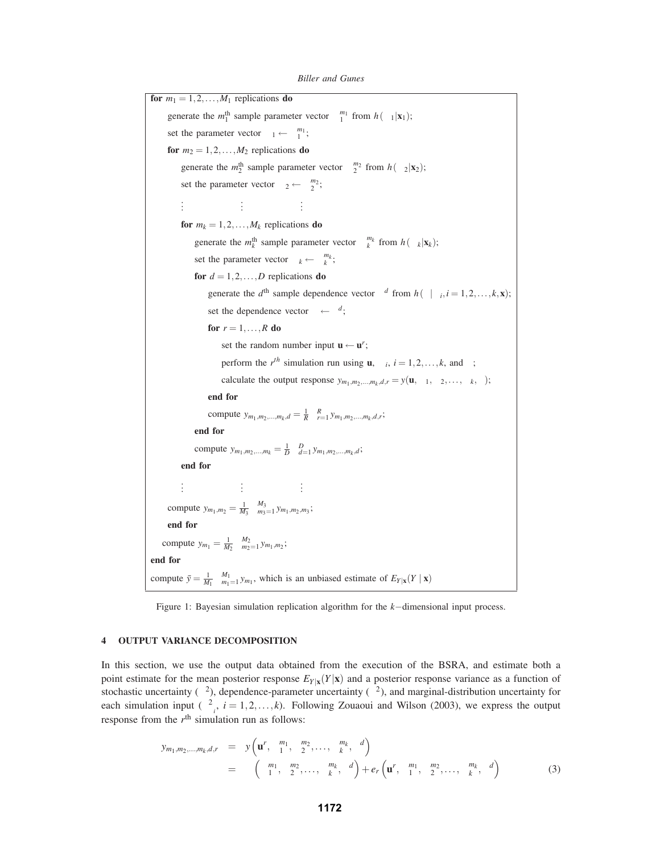| for $m_1 = 1, 2, , M_1$ replications do                                                                                            |
|------------------------------------------------------------------------------------------------------------------------------------|
| generate the $m_1^{\text{th}}$ sample parameter vector $\Psi_1^{m_1}$ from $h(\Psi_1 \mathbf{x}_1)$ ;                              |
| set the parameter vector $\Psi_1 \leftarrow \Psi_1^{m_1}$ ;                                                                        |
| for $m_2 = 1, 2, , M_2$ replications do                                                                                            |
| generate the $m_2^{\text{th}}$ sample parameter vector $\Psi_2^{m_2}$ from $h(\Psi_2 \mathbf{x}_2)$ ;                              |
| set the parameter vector $\Psi_2 \leftarrow \Psi_2^{m_2}$ ;                                                                        |
| ÷                                                                                                                                  |
| for $m_k = 1, 2, , M_k$ replications do                                                                                            |
| generate the $m_k^{\text{th}}$ sample parameter vector $\Psi_k^{m_k}$ from $h(\Psi_k \mathbf{x}_k)$ ;                              |
| set the parameter vector $\Psi_k \leftarrow \Psi_k^{m_k}$ ;                                                                        |
| for $d = 1, 2, , D$ replications do                                                                                                |
| generate the $d^{th}$ sample dependence vector $\Lambda^d$ from $h(\Lambda \Psi_i, i=1,2,\ldots,k,\mathbf{x})$ ;                   |
| set the dependence vector $\Lambda \leftarrow \Lambda^d$ ;                                                                         |
| for $r = 1, \ldots, R$ do                                                                                                          |
| set the random number input $\mathbf{u} \leftarrow \mathbf{u}^r$ ;                                                                 |
| perform the $r^{th}$ simulation run using <b>u</b> , $\Psi_i$ , $i = 1, 2, , k$ , and $\Lambda$ ;                                  |
| calculate the output response $y_{m_1,m_2,,m_k,d,r} = y(\mathbf{u}, \Psi_1, \Psi_2,, \Psi_k, \Lambda);$                            |
| end for                                                                                                                            |
| compute $y_{m_1,m_2,,m_k,d} = \frac{1}{R} \sum_{r=1}^{R} y_{m_1,m_2,,m_k,d,r};$                                                    |
| end for                                                                                                                            |
| compute $y_{m_1,m_2,,m_k} = \frac{1}{D} \sum_{d=1}^{D} y_{m_1,m_2,,m_k,d}$ ;                                                       |
| end for                                                                                                                            |
|                                                                                                                                    |
| compute $y_{m_1,m_2} = \frac{1}{M_3} \sum_{m_3=1}^{M_3} y_{m_1,m_2,m_3}$ ;                                                         |
| end for                                                                                                                            |
| compute $y_{m_1} = \frac{1}{M_2} \sum_{m_2=1}^{M_2} y_{m_1,m_2}$ ;                                                                 |
| end for                                                                                                                            |
| compute $\bar{y} = \frac{1}{M_1} \sum_{m_1=1}^{M_1} y_{m_1}$ , which is an unbiased estimate of $E_{Y \mathbf{x}}(Y   \mathbf{x})$ |
|                                                                                                                                    |

*Biller and Gunes*

Figure 1: Bayesian simulation replication algorithm for the *k*−dimensional input process.

# **4 OUTPUT VARIANCE DECOMPOSITION**

In this section, we use the output data obtained from the execution of the BSRA, and estimate both a point estimate for the mean posterior response  $E_Y|\mathbf{x}(Y|\mathbf{x})$  and a posterior response variance as a function of stochastic uncertainty ( $\lambda^2$ ), dependence-parameter uncertainty ( $\theta_{\Lambda}^2$ ), and marginal-distribution uncertainty for each simulation input  $(\theta_{\Psi_i}^2, i = 1, 2, ..., k)$ . Following Zouaoui and Wilson (2003), we express the output response from the  $r<sup>th</sup>$  simulation run as follows:

$$
y_{m_1,m_2,...,m_k,d,r} = y(\mathbf{u}^r, \Psi_1^{m_1}, \Psi_2^{m_2},..., \Psi_k^{m_k}, \Lambda^d)
$$
  
=  $\eta(\Psi_1^{m_1}, \Psi_2^{m_2},..., \Psi_k^{m_k}, \Lambda^d) + e_r(\mathbf{u}^r, \Psi_1^{m_1}, \Psi_2^{m_2},..., \Psi_k^{m_k}, \Lambda^d)$  (3)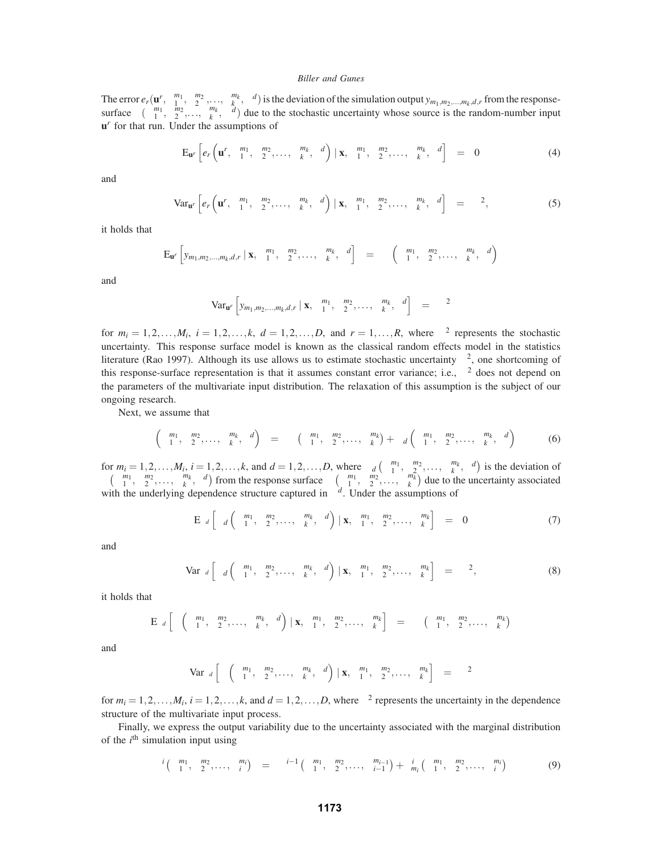The error  $e_r(\mathbf{u}^r, \Psi_1^{m_1}, \Psi_2^{m_2}, \dots, \Psi_k^{m_k}, \Lambda^d)$  is the deviation of the simulation output  $y_{m_1,m_2,\dots,m_k,d,r}$  from the responsesurface  $\eta(\Psi_1^{m_1}, \Psi_2^{m_2}, \ldots, \Psi_k^{m_k}, \Lambda^d)$  due to the stochastic uncertainty whose source is the random-number input **u***<sup>r</sup>* for that run. Under the assumptions of

$$
\mathbf{E}_{\mathbf{u}^r}\left[e_r\left(\mathbf{u}^r,\mathbf{\Psi}_1^{m_1},\mathbf{\Psi}_2^{m_2},\ldots,\mathbf{\Psi}_k^{m_k},\Lambda^d\right) \mid \mathbf{x},\mathbf{\Psi}_1^{m_1},\mathbf{\Psi}_2^{m_2},\ldots,\mathbf{\Psi}_k^{m_k},\Lambda^d\right] = 0 \tag{4}
$$

and

$$
\text{Var}_{\mathbf{u}^r}\left[e_r\left(\mathbf{u}^r, \mathbf{\Psi}_1^{m_1}, \mathbf{\Psi}_2^{m_2}, \dots, \mathbf{\Psi}_k^{m_k}, \Lambda^d\right) \mid \mathbf{x}, \mathbf{\Psi}_1^{m_1}, \mathbf{\Psi}_2^{m_2}, \dots, \mathbf{\Psi}_k^{m_k}, \Lambda^d\right] = \lambda^2,\tag{5}
$$

it holds that

$$
E_{\bm{u}^{r}}\left[y_{m_1,m_2,...,m_k,d,r} \mid \bm{x}, \bm{\Psi}_1^{m_1}, \bm{\Psi}_2^{m_2}, \ldots, \bm{\Psi}_k^{m_k}, \bm{\Lambda}^d\right] = \eta\left(\bm{\Psi}_1^{m_1}, \bm{\Psi}_2^{m_2}, \ldots, \bm{\Psi}_k^{m_k}, \bm{\Lambda}^d\right)
$$

and

$$
\text{Var}_{\mathbf{u}'} \left[ y_{m_1, m_2, \dots, m_k, d, r} \mid \mathbf{x}, \Psi_1^{m_1}, \Psi_2^{m_2}, \dots, \Psi_k^{m_k}, \Lambda^d \right] = \lambda^2
$$

for  $m_i = 1, 2, \ldots, M_i$ ,  $i = 1, 2, \ldots, k$ ,  $d = 1, 2, \ldots, D$ , and  $r = 1, \ldots, R$ , where  $\lambda^2$  represents the stochastic uncertainty. This response surface model is known as the classical random effects model in the statistics literature (Rao 1997). Although its use allows us to estimate stochastic uncertainty  $\lambda^2$ , one shortcoming of this response-surface representation is that it assumes constant error variance; i.e.,  $\lambda^2$  does not depend on the parameters of the multivariate input distribution. The relaxation of this assumption is the subject of our ongoing research.

Next, we assume that

$$
\eta\left(\Psi_1^{m_1}, \Psi_2^{m_2}, \dots, \Psi_k^{m_k}, \Lambda^d\right) = \omega\left(\Psi_1^{m_1}, \Psi_2^{m_2}, \dots, \Psi_k^{m_k}\right) + \varpi_d\left(\Psi_1^{m_1}, \Psi_2^{m_2}, \dots, \Psi_k^{m_k}, \Lambda^d\right) \tag{6}
$$

for  $m_i = 1, 2, \ldots, M_i$ ,  $i = 1, 2, \ldots, k$ , and  $d = 1, 2, \ldots, D$ , where  $\overline{\omega}_d \left( \Psi_1^{m_1}, \Psi_2^{m_2}, \ldots, \Psi_k^{m_k}, \Lambda^d \right)$  is the deviation of  $\eta\left(\Psi_1^{m_1}, \Psi_2^{m_2}, \ldots, \Psi_k^{m_k}, \Lambda^d\right)$  from the response surface  $\omega\left(\Psi_1^{m_1}, \Psi_2^{m_2}, \ldots, \Psi_k^{m_k}\right)$  due to the uncertainty associated with the underlying dependence structure captured in  $\Lambda^d$ . Under the assumptions of

$$
\mathbf{E}_{\Lambda^d} \left[ \boldsymbol{\overline{\omega}}_d \left( \boldsymbol{\Psi}_1^{m_1}, \boldsymbol{\Psi}_2^{m_2}, \dots, \boldsymbol{\Psi}_k^{m_k}, \Lambda^d \right) \mid \mathbf{x}, \boldsymbol{\Psi}_1^{m_1}, \boldsymbol{\Psi}_2^{m_2}, \dots, \boldsymbol{\Psi}_k^{m_k} \right] = 0 \tag{7}
$$

and

$$
\text{Var}_{\Lambda^d} \left[ \overline{\omega}_d \left( \Psi_1^{m_1}, \Psi_2^{m_2}, \dots, \Psi_k^{m_k}, \Lambda^d \right) \mid \mathbf{x}, \Psi_1^{m_1}, \Psi_2^{m_2}, \dots, \Psi_k^{m_k} \right] = \theta_\Lambda^2,
$$
\n(8)

it holds that

$$
E_{\Lambda^{d}}\left[\eta\left(\Psi_{1}^{m_1},\Psi_{2}^{m_2},\ldots,\Psi_{k}^{m_k},\Lambda^{d}\right) \mid {\bf x},\Psi_{1}^{m_1},\Psi_{2}^{m_2},\ldots,\Psi_{k}^{m_k}\right] = \omega\left(\Psi_{1}^{m_1},\Psi_{2}^{m_2},\ldots,\Psi_{k}^{m_k}\right)
$$

and

$$
\text{Var}_{\Lambda^d}\left[\eta\left(\Psi_1^{m_1},\Psi_2^{m_2},\ldots,\Psi_k^{m_k},\Lambda^d\right) \mid \mathbf{x},\Psi_1^{m_1},\Psi_2^{m_2},\ldots,\Psi_k^{m_k}\right] = \theta_{\Lambda}^2
$$

for  $m_i = 1, 2, ..., M_i$ ,  $i = 1, 2, ..., k$ , and  $d = 1, 2, ..., D$ , where  $\theta_{\Lambda}^2$  represents the uncertainty in the dependence structure of the multivariate input process.

Finally, we express the output variability due to the uncertainty associated with the marginal distribution of the  $i<sup>th</sup>$  simulation input using

$$
\varphi^{i}\left(\Psi_{1}^{m_{1}},\Psi_{2}^{m_{2}},\ldots,\Psi_{i}^{m_{i}}\right) = \varphi^{i-1}\left(\Psi_{1}^{m_{1}},\Psi_{2}^{m_{2}},\ldots,\Psi_{i-1}^{m_{i-1}}\right) + \kappa_{m_{i}}^{i}\left(\Psi_{1}^{m_{1}},\Psi_{2}^{m_{2}},\ldots,\Psi_{i}^{m_{i}}\right) \tag{9}
$$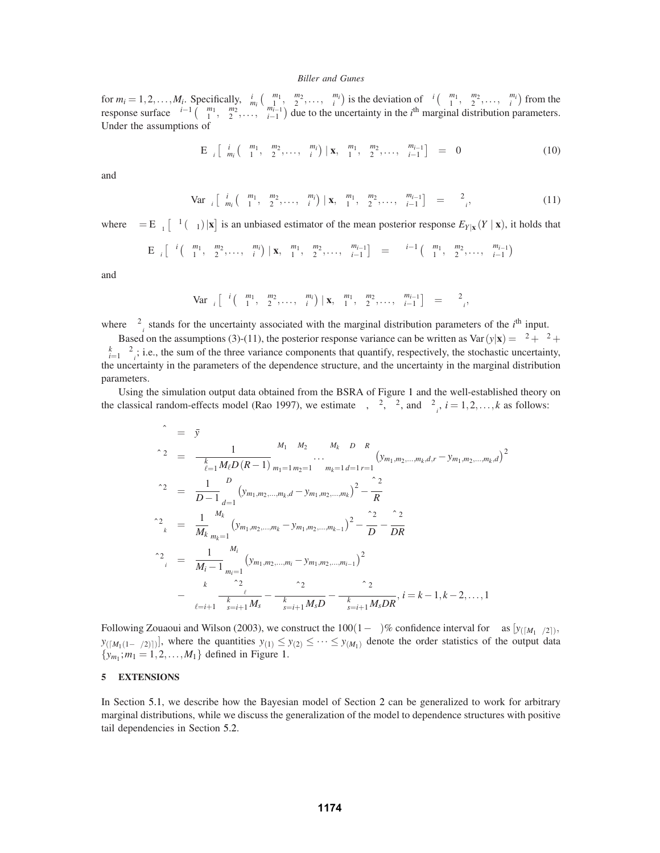for  $m_i = 1, 2, \ldots, M_i$ . Specifically,  $\kappa_{m_i}^i \left( \Psi_1^{m_1}, \Psi_2^{m_2}, \ldots, \Psi_i^{m_i} \right)$  is the deviation of  $\varphi^i \left( \Psi_1^{m_1}, \Psi_2^{m_2}, \ldots, \Psi_i^{m_i} \right)$  from the response surface  $\varphi^{i-1}$   $(\Psi_1^{m_1}, \Psi_2^{m_2}, \dots, \Psi_{i-1}^{m_{i-1}})$  due to the uncertainty in the *i*<sup>th</sup> marginal distribution parameters. Under the assumptions of

$$
E_{\Psi_i}\left[\kappa_{m_i}^i\left(\Psi_1^{m_1},\Psi_2^{m_2},\ldots,\Psi_i^{m_i}\right) \mid \mathbf{x},\Psi_1^{m_1},\Psi_2^{m_2},\ldots,\Psi_{i-1}^{m_{i-1}}\right] = 0 \tag{10}
$$

and

$$
\text{Var}_{\Psi_i}\left[\kappa_{m_i}^i\left(\Psi_1^{m_1},\Psi_2^{m_2},\ldots,\Psi_i^{m_i}\right) \mid \mathbf{x},\Psi_1^{m_1},\Psi_2^{m_2},\ldots,\Psi_{i-1}^{m_{i-1}}\right] = \theta_{\Psi_i}^2, \tag{11}
$$

where  $\beta = E_{\Psi_1} [\varphi^1(\Psi_1) | \mathbf{x}]$  is an unbiased estimator of the mean posterior response  $E_{Y|\mathbf{x}}(Y | \mathbf{x})$ , it holds that

$$
E_{\Psi_i}\left[\phi^i\left(\Psi_1^{m_1},\Psi_2^{m_2},\ldots,\Psi_i^{m_i}\right) \mid {\bf x},\Psi_1^{m_1},\Psi_2^{m_2},\ldots,\Psi_{i-1}^{m_{i-1}}\right] \quad = \quad \phi^{i-1}\left(\Psi_1^{m_1},\Psi_2^{m_2},\ldots,\Psi_{i-1}^{m_{i-1}}\right)
$$

and

$$
\text{Var}_{\Psi_i} \left[ \phi^i \left( \Psi_1^{m_1}, \Psi_2^{m_2}, \dots, \Psi_i^{m_i} \right) \mid \mathbf{x}, \Psi_1^{m_1}, \Psi_2^{m_2}, \dots, \Psi_{i-1}^{m_{i-1}} \right] \quad = \quad \theta_{\Psi_i}^2,
$$

where  $\sigma_{\Psi_i}^2$  stands for the uncertainty associated with the marginal distribution parameters of the *i*<sup>th</sup> input.

Based on the assumptions (3)-(11), the posterior response variance can be written as  $\text{Var}(y|\mathbf{x}) = \lambda^2 + \theta_{\Lambda}^2 + \theta_{\Lambda}^2$  $\sum_{i=1}^{k} \theta_{\Psi_i}^2$ ; i.e., the sum of the three variance components that quantify, respectively, the stochastic uncertainty, the uncertainty in the parameters of the dependence structure, and the uncertainty in the marginal distribution parameters.

Using the simulation output data obtained from the BSRA of Figure 1 and the well-established theory on the classical random-effects model (Rao 1997), we estimate  $\beta$ ,  $\lambda^2$ ,  $\theta_{\Lambda}^2$ , and  $\theta_{\Psi_i}^2$ ,  $i = 1, 2, ..., k$  as follows:

$$
\hat{\beta} = \bar{y}
$$
\n
$$
\hat{\lambda}^{2} = \frac{1}{\prod_{\ell=1}^{k} M_{\ell}D(R-1)} \sum_{m_{1}=1}^{M_{1}} \sum_{m_{2}=1}^{M_{2}} \cdots \sum_{m_{k}=1}^{M_{k}} \sum_{d=1}^{D} \sum_{r=1}^{R} (y_{m_{1},m_{2},...,m_{k},d,r} - y_{m_{1},m_{2},...,m_{k},d})^{2}
$$
\n
$$
\hat{\theta}_{\Lambda}^{2} = \frac{1}{D-1} \sum_{d=1}^{D} (y_{m_{1},m_{2},...,m_{k},d} - y_{m_{1},m_{2},...,m_{k}})^{2} - \frac{\hat{\lambda}^{2}}{R}
$$
\n
$$
\hat{\theta}_{\Psi_{k}}^{2} = \frac{1}{M_{k}} \sum_{m_{k}=1}^{M_{k}} (y_{m_{1},m_{2},...,m_{k}} - y_{m_{1},m_{2},...,m_{k-1}})^{2} - \frac{\hat{\theta}_{\Lambda}^{2}}{D} - \frac{\hat{\lambda}^{2}}{DR}
$$
\n
$$
\hat{\theta}_{\Psi_{i}}^{2} = \frac{1}{M_{i}-1} \sum_{m_{i}=1}^{M_{i}} (y_{m_{1},m_{2},...,m_{i}} - y_{m_{1},m_{2},...,m_{i-1}})^{2}
$$
\n
$$
- \sum_{\ell=i+1}^{k} \frac{\hat{\theta}_{\Psi_{\ell}}^{2}}{\prod_{s=i+1}^{k} M_{s}} - \frac{\hat{\theta}_{\Lambda}^{2}}{\prod_{s=i+1}^{k} M_{s}D} - \frac{\hat{\lambda}^{2}}{\prod_{s=i+1}^{k} M_{s}DR}, i = k-1, k-2, ..., 1
$$

Following Zouaoui and Wilson (2003), we construct the  $100(1-\varphi)\%$  confidence interval for  $\beta$  as  $[y_{([M_1\varphi/2])},$  $y_{([M_1(1-\varphi/2)])}$ , where the quantities  $y_{(1)} \leq y_{(2)} \leq \cdots \leq y_{(M_1)}$  denote the order statistics of the output data  $\{y_{m_1}$ ;  $m_1 = 1, 2, ..., M_1\}$  defined in Figure 1.

## **5 EXTENSIONS**

In Section 5.1, we describe how the Bayesian model of Section 2 can be generalized to work for arbitrary marginal distributions, while we discuss the generalization of the model to dependence structures with positive tail dependencies in Section 5.2.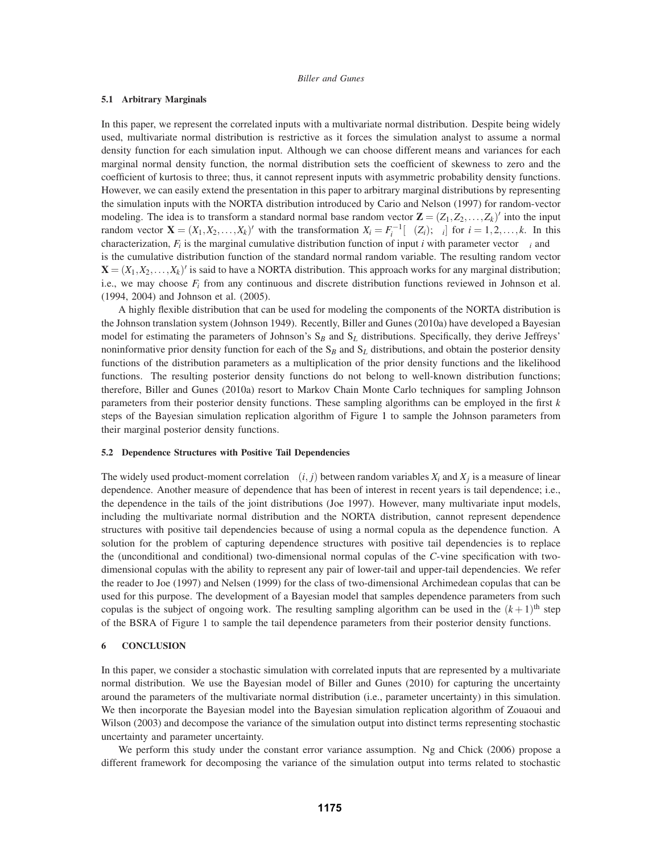## **5.1 Arbitrary Marginals**

In this paper, we represent the correlated inputs with a multivariate normal distribution. Despite being widely used, multivariate normal distribution is restrictive as it forces the simulation analyst to assume a normal density function for each simulation input. Although we can choose different means and variances for each marginal normal density function, the normal distribution sets the coefficient of skewness to zero and the coefficient of kurtosis to three; thus, it cannot represent inputs with asymmetric probability density functions. However, we can easily extend the presentation in this paper to arbitrary marginal distributions by representing the simulation inputs with the NORTA distribution introduced by Cario and Nelson (1997) for random-vector modeling. The idea is to transform a standard normal base random vector  $\mathbf{Z} = (Z_1, Z_2, \dots, Z_k)$  into the input random vector  $\mathbf{X} = (X_1, X_2, \dots, X_k)'$  with the transformation  $X_i = F_i^{-1}[\Phi(Z_i); \Psi_i]$  for  $i = 1, 2, \dots, k$ . In this characterization,  $F_i$  is the marginal cumulative distribution function of input *i* with parameter vector  $\Psi_i$  and  $\Phi$ is the cumulative distribution function of the standard normal random variable. The resulting random vector  $\mathbf{X} = (X_1, X_2, \dots, X_k)'$  is said to have a NORTA distribution. This approach works for any marginal distribution; i.e., we may choose  $F_i$  from any continuous and discrete distribution functions reviewed in Johnson et al. (1994, 2004) and Johnson et al. (2005).

A highly flexible distribution that can be used for modeling the components of the NORTA distribution is the Johnson translation system (Johnson 1949). Recently, Biller and Gunes (2010a) have developed a Bayesian model for estimating the parameters of Johnson's S*<sup>B</sup>* and S*<sup>L</sup>* distributions. Specifically, they derive Jeffreys' noninformative prior density function for each of the S*<sup>B</sup>* and S*<sup>L</sup>* distributions, and obtain the posterior density functions of the distribution parameters as a multiplication of the prior density functions and the likelihood functions. The resulting posterior density functions do not belong to well-known distribution functions; therefore, Biller and Gunes (2010a) resort to Markov Chain Monte Carlo techniques for sampling Johnson parameters from their posterior density functions. These sampling algorithms can be employed in the first *k* steps of the Bayesian simulation replication algorithm of Figure 1 to sample the Johnson parameters from their marginal posterior density functions.

#### **5.2 Dependence Structures with Positive Tail Dependencies**

The widely used product-moment correlation  $\rho(i, j)$  between random variables  $X_i$  and  $X_j$  is a measure of linear dependence. Another measure of dependence that has been of interest in recent years is tail dependence; i.e., the dependence in the tails of the joint distributions (Joe 1997). However, many multivariate input models, including the multivariate normal distribution and the NORTA distribution, cannot represent dependence structures with positive tail dependencies because of using a normal copula as the dependence function. A solution for the problem of capturing dependence structures with positive tail dependencies is to replace the (unconditional and conditional) two-dimensional normal copulas of the *C*-vine specification with twodimensional copulas with the ability to represent any pair of lower-tail and upper-tail dependencies. We refer the reader to Joe (1997) and Nelsen (1999) for the class of two-dimensional Archimedean copulas that can be used for this purpose. The development of a Bayesian model that samples dependence parameters from such copulas is the subject of ongoing work. The resulting sampling algorithm can be used in the  $(k+1)$ <sup>th</sup> step of the BSRA of Figure 1 to sample the tail dependence parameters from their posterior density functions.

#### **6 CONCLUSION**

In this paper, we consider a stochastic simulation with correlated inputs that are represented by a multivariate normal distribution. We use the Bayesian model of Biller and Gunes (2010) for capturing the uncertainty around the parameters of the multivariate normal distribution (i.e., parameter uncertainty) in this simulation. We then incorporate the Bayesian model into the Bayesian simulation replication algorithm of Zouaoui and Wilson (2003) and decompose the variance of the simulation output into distinct terms representing stochastic uncertainty and parameter uncertainty.

We perform this study under the constant error variance assumption. Ng and Chick (2006) propose a different framework for decomposing the variance of the simulation output into terms related to stochastic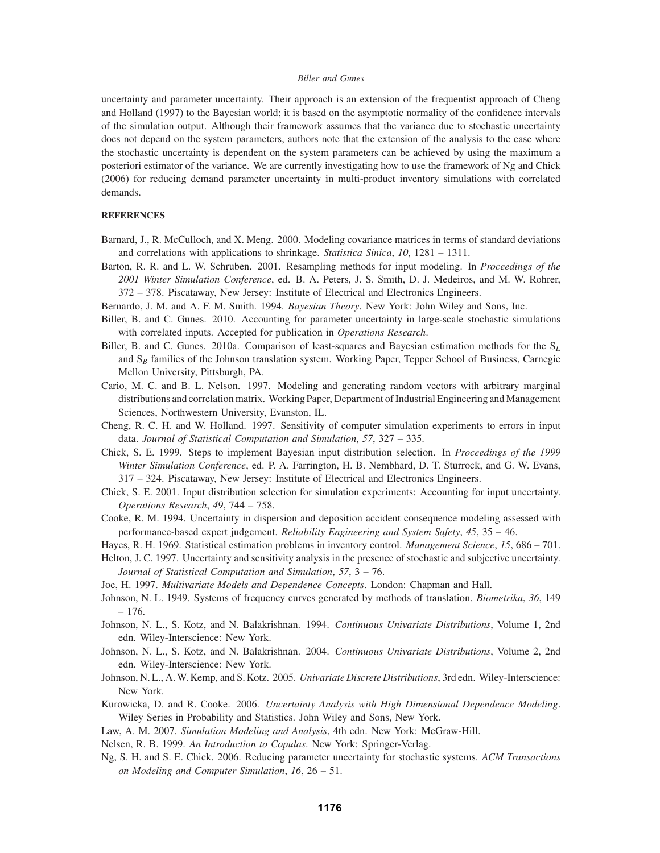uncertainty and parameter uncertainty. Their approach is an extension of the frequentist approach of Cheng and Holland (1997) to the Bayesian world; it is based on the asymptotic normality of the confidence intervals of the simulation output. Although their framework assumes that the variance due to stochastic uncertainty does not depend on the system parameters, authors note that the extension of the analysis to the case where the stochastic uncertainty is dependent on the system parameters can be achieved by using the maximum a posteriori estimator of the variance. We are currently investigating how to use the framework of Ng and Chick (2006) for reducing demand parameter uncertainty in multi-product inventory simulations with correlated demands.

# **REFERENCES**

- Barnard, J., R. McCulloch, and X. Meng. 2000. Modeling covariance matrices in terms of standard deviations and correlations with applications to shrinkage. *Statistica Sinica*, *10*, 1281 – 1311.
- Barton, R. R. and L. W. Schruben. 2001. Resampling methods for input modeling. In *Proceedings of the 2001 Winter Simulation Conference*, ed. B. A. Peters, J. S. Smith, D. J. Medeiros, and M. W. Rohrer, 372 – 378. Piscataway, New Jersey: Institute of Electrical and Electronics Engineers.
- Bernardo, J. M. and A. F. M. Smith. 1994. *Bayesian Theory*. New York: John Wiley and Sons, Inc.
- Biller, B. and C. Gunes. 2010. Accounting for parameter uncertainty in large-scale stochastic simulations with correlated inputs. Accepted for publication in *Operations Research*.
- Biller, B. and C. Gunes. 2010a. Comparison of least-squares and Bayesian estimation methods for the S*<sup>L</sup>* and S*<sup>B</sup>* families of the Johnson translation system. Working Paper, Tepper School of Business, Carnegie Mellon University, Pittsburgh, PA.
- Cario, M. C. and B. L. Nelson. 1997. Modeling and generating random vectors with arbitrary marginal distributions and correlation matrix. Working Paper, Department of Industrial Engineering and Management Sciences, Northwestern University, Evanston, IL.
- Cheng, R. C. H. and W. Holland. 1997. Sensitivity of computer simulation experiments to errors in input data. *Journal of Statistical Computation and Simulation*, *57*, 327 – 335.
- Chick, S. E. 1999. Steps to implement Bayesian input distribution selection. In *Proceedings of the 1999 Winter Simulation Conference*, ed. P. A. Farrington, H. B. Nembhard, D. T. Sturrock, and G. W. Evans, 317 – 324. Piscataway, New Jersey: Institute of Electrical and Electronics Engineers.
- Chick, S. E. 2001. Input distribution selection for simulation experiments: Accounting for input uncertainty. *Operations Research*, *49*, 744 – 758.
- Cooke, R. M. 1994. Uncertainty in dispersion and deposition accident consequence modeling assessed with performance-based expert judgement. *Reliability Engineering and System Safety*, *45*, 35 – 46.
- Hayes, R. H. 1969. Statistical estimation problems in inventory control. *Management Science*, *15*, 686 701.
- Helton, J. C. 1997. Uncertainty and sensitivity analysis in the presence of stochastic and subjective uncertainty. *Journal of Statistical Computation and Simulation*, *57*, 3 – 76.
- Joe, H. 1997. *Multivariate Models and Dependence Concepts*. London: Chapman and Hall.
- Johnson, N. L. 1949. Systems of frequency curves generated by methods of translation. *Biometrika*, *36*, 149 – 176.
- Johnson, N. L., S. Kotz, and N. Balakrishnan. 1994. *Continuous Univariate Distributions*, Volume 1, 2nd edn. Wiley-Interscience: New York.
- Johnson, N. L., S. Kotz, and N. Balakrishnan. 2004. *Continuous Univariate Distributions*, Volume 2, 2nd edn. Wiley-Interscience: New York.
- Johnson, N. L., A. W. Kemp, and S. Kotz. 2005. *Univariate Discrete Distributions*, 3rd edn. Wiley-Interscience: New York.
- Kurowicka, D. and R. Cooke. 2006. *Uncertainty Analysis with High Dimensional Dependence Modeling*. Wiley Series in Probability and Statistics. John Wiley and Sons, New York.
- Law, A. M. 2007. *Simulation Modeling and Analysis*, 4th edn. New York: McGraw-Hill.
- Nelsen, R. B. 1999. *An Introduction to Copulas*. New York: Springer-Verlag.
- Ng, S. H. and S. E. Chick. 2006. Reducing parameter uncertainty for stochastic systems. *ACM Transactions on Modeling and Computer Simulation*, *16*, 26 – 51.